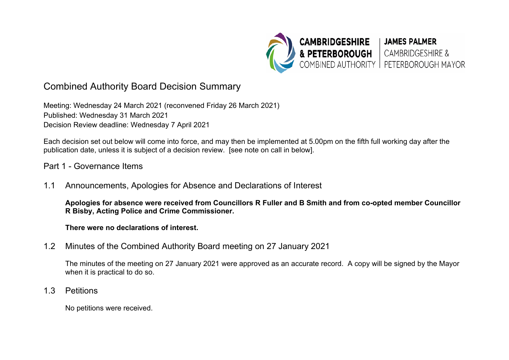

# Combined Authority Board Decision Summary

Meeting: Wednesday 24 March 2021 (reconvened Friday 26 March 2021) Published: Wednesday 31 March 2021 Decision Review deadline: Wednesday 7 April 2021

Each decision set out below will come into force, and may then be implemented at 5.00pm on the fifth full working day after the publication date, unless it is subject of a decision review. [see note on call in below].

#### Part 1 - Governance Items

1.1 Announcements, Apologies for Absence and Declarations of Interest

**Apologies for absence were received from Councillors R Fuller and B Smith and from co-opted member Councillor R Bisby, Acting Police and Crime Commissioner.** 

**There were no declarations of interest.** 

1.2 Minutes of the Combined Authority Board meeting on 27 January 2021

The minutes of the meeting on 27 January 2021 were approved as an accurate record. A copy will be signed by the Mayor when it is practical to do so.

1.3 Petitions

No petitions were received.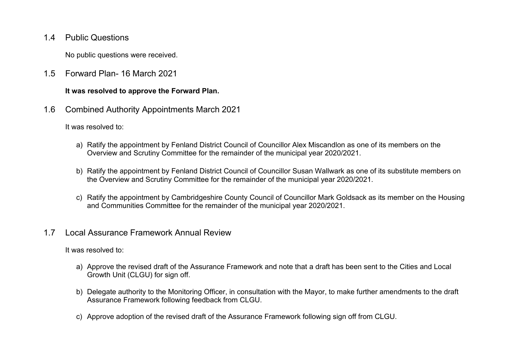1.4 Public Questions

No public questions were received.

1.5 Forward Plan- 16 March 2021

#### **It was resolved to approve the Forward Plan.**

1.6 Combined Authority Appointments March 2021

It was resolved to:

- a) Ratify the appointment by Fenland District Council of Councillor Alex Miscandlon as one of its members on the Overview and Scrutiny Committee for the remainder of the municipal year 2020/2021.
- b) Ratify the appointment by Fenland District Council of Councillor Susan Wallwark as one of its substitute members on the Overview and Scrutiny Committee for the remainder of the municipal year 2020/2021.
- c) Ratify the appointment by Cambridgeshire County Council of Councillor Mark Goldsack as its member on the Housing and Communities Committee for the remainder of the municipal year 2020/2021.

### 1.7 Local Assurance Framework Annual Review

- a) Approve the revised draft of the Assurance Framework and note that a draft has been sent to the Cities and Local Growth Unit (CLGU) for sign off.
- b) Delegate authority to the Monitoring Officer, in consultation with the Mayor, to make further amendments to the draft Assurance Framework following feedback from CLGU.
- c) Approve adoption of the revised draft of the Assurance Framework following sign off from CLGU.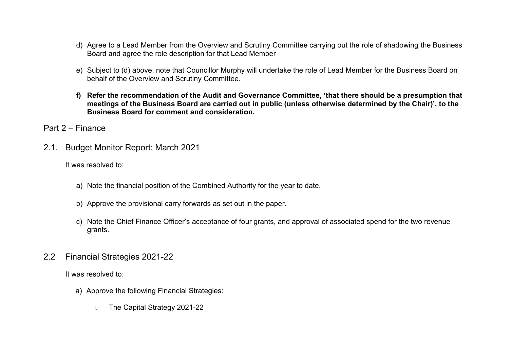- d) Agree to a Lead Member from the Overview and Scrutiny Committee carrying out the role of shadowing the Business Board and agree the role description for that Lead Member
- e) Subject to (d) above, note that Councillor Murphy will undertake the role of Lead Member for the Business Board on behalf of the Overview and Scrutiny Committee.
- **f) Refer the recommendation of the Audit and Governance Committee, 'that there should be a presumption that meetings of the Business Board are carried out in public (unless otherwise determined by the Chair)', to the Business Board for comment and consideration.**
- Part 2 Finance
- 2.1. Budget Monitor Report: March 2021

It was resolved to:

- a) Note the financial position of the Combined Authority for the year to date.
- b) Approve the provisional carry forwards as set out in the paper.
- c) Note the Chief Finance Officer's acceptance of four grants, and approval of associated spend for the two revenue grants.
- 2.2 Financial Strategies 2021-22

- a) Approve the following Financial Strategies:
	- i. The Capital Strategy 2021-22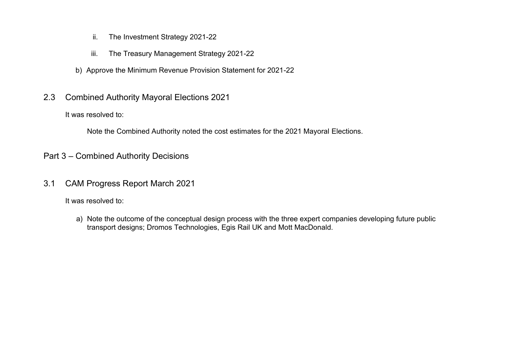- ii. The Investment Strategy 2021-22
- iii. The Treasury Management Strategy 2021-22
- b) Approve the Minimum Revenue Provision Statement for 2021-22
- 2.3 Combined Authority Mayoral Elections 2021

It was resolved to:

Note the Combined Authority noted the cost estimates for the 2021 Mayoral Elections.

- Part 3 Combined Authority Decisions
- 3.1 CAM Progress Report March 2021

It was resolved to:

a) Note the outcome of the conceptual design process with the three expert companies developing future public transport designs; Dromos Technologies, Egis Rail UK and Mott MacDonald.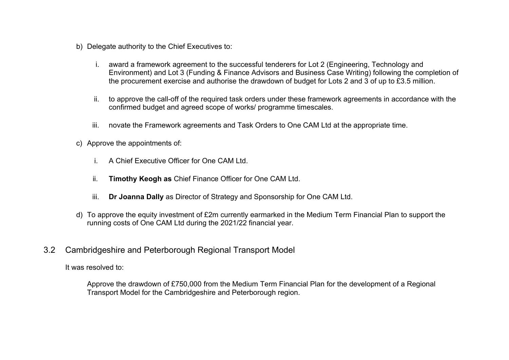- b) Delegate authority to the Chief Executives to:
	- i. award a framework agreement to the successful tenderers for Lot 2 (Engineering, Technology and Environment) and Lot 3 (Funding & Finance Advisors and Business Case Writing) following the completion of the procurement exercise and authorise the drawdown of budget for Lots 2 and 3 of up to £3.5 million.
	- ii. to approve the call-off of the required task orders under these framework agreements in accordance with the confirmed budget and agreed scope of works/ programme timescales.
	- iii. novate the Framework agreements and Task Orders to One CAM Ltd at the appropriate time.
- c) Approve the appointments of:
	- i. A Chief Executive Officer for One CAM Ltd.
	- ii. **Timothy Keogh as** Chief Finance Officer for One CAM Ltd.
	- iii. **Dr Joanna Dally** as Director of Strategy and Sponsorship for One CAM Ltd.
- d) To approve the equity investment of £2m currently earmarked in the Medium Term Financial Plan to support the running costs of One CAM Ltd during the 2021/22 financial year.
- 3.2 Cambridgeshire and Peterborough Regional Transport Model

It was resolved to:

Approve the drawdown of £750,000 from the Medium Term Financial Plan for the development of a Regional Transport Model for the Cambridgeshire and Peterborough region.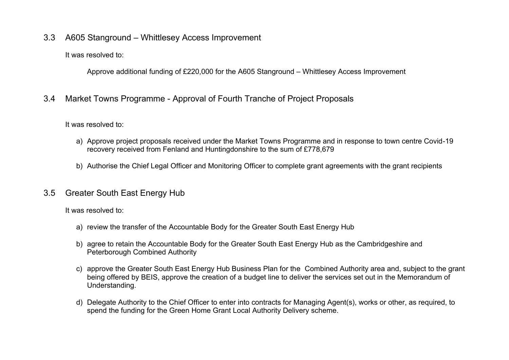### 3.3 A605 Stanground – Whittlesey Access Improvement

It was resolved to:

Approve additional funding of £220,000 for the A605 Stanground – Whittlesey Access Improvement

# 3.4 Market Towns Programme - Approval of Fourth Tranche of Project Proposals

It was resolved to:

- a) Approve project proposals received under the Market Towns Programme and in response to town centre Covid-19 recovery received from Fenland and Huntingdonshire to the sum of £778,679
- b) Authorise the Chief Legal Officer and Monitoring Officer to complete grant agreements with the grant recipients

### 3.5 Greater South East Energy Hub

- a) review the transfer of the Accountable Body for the Greater South East Energy Hub
- b) agree to retain the Accountable Body for the Greater South East Energy Hub as the Cambridgeshire and Peterborough Combined Authority
- c) approve the Greater South East Energy Hub Business Plan for the Combined Authority area and, subject to the grant being offered by BEIS, approve the creation of a budget line to deliver the services set out in the Memorandum of Understanding.
- d) Delegate Authority to the Chief Officer to enter into contracts for Managing Agent(s), works or other, as required, to spend the funding for the Green Home Grant Local Authority Delivery scheme.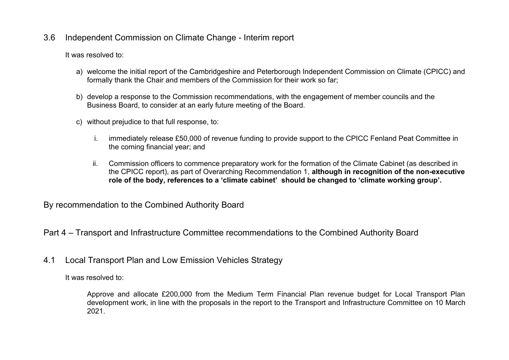### 3.6 Independent Commission on Climate Change - Interim report

It was resolved to:

- a) welcome the initial report of the Cambridgeshire and Peterborough Independent Commission on Climate (CPICC) and formally thank the Chair and members of the Commission for their work so far;
- b) develop a response to the Commission recommendations, with the engagement of member councils and the Business Board, to consider at an early future meeting of the Board.
- c) without prejudice to that full response, to:
	- i. immediately release £50,000 of revenue funding to provide support to the CPICC Fenland Peat Committee in the coming financial year; and
	- ii. Commission officers to commence preparatory work for the formation of the Climate Cabinet (as described in the CPICC report), as part of Overarching Recommendation 1, **although in recognition of the non-executive role of the body, references to a 'climate cabinet' should be changed to 'climate working group'.**

By recommendation to the Combined Authority Board

Part 4 – Transport and Infrastructure Committee recommendations to the Combined Authority Board

4.1 Local Transport Plan and Low Emission Vehicles Strategy

It was resolved to:

Approve and allocate £200,000 from the Medium Term Financial Plan revenue budget for Local Transport Plan development work, in line with the proposals in the report to the Transport and Infrastructure Committee on 10 March 2021.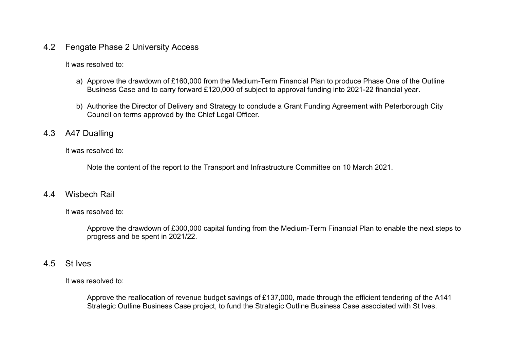#### 4.2 Fengate Phase 2 University Access

It was resolved to:

- a) Approve the drawdown of £160,000 from the Medium-Term Financial Plan to produce Phase One of the Outline Business Case and to carry forward £120,000 of subject to approval funding into 2021-22 financial year.
- b) Authorise the Director of Delivery and Strategy to conclude a Grant Funding Agreement with Peterborough City Council on terms approved by the Chief Legal Officer.

#### 4.3 A47 Dualling

It was resolved to:

Note the content of the report to the Transport and Infrastructure Committee on 10 March 2021.

#### 4.4 Wisbech Rail

It was resolved to:

Approve the drawdown of £300,000 capital funding from the Medium-Term Financial Plan to enable the next steps to progress and be spent in 2021/22.

#### 4.5 St Ives

It was resolved to:

Approve the reallocation of revenue budget savings of £137,000, made through the efficient tendering of the A141 Strategic Outline Business Case project, to fund the Strategic Outline Business Case associated with St Ives.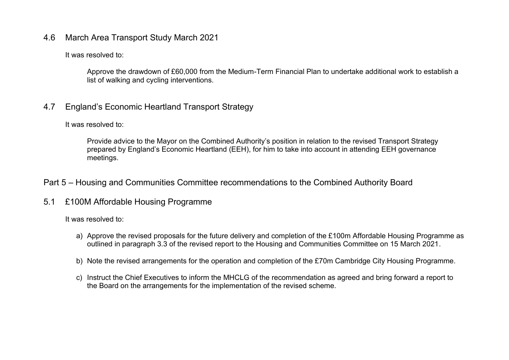### 4.6 March Area Transport Study March 2021

It was resolved to:

Approve the drawdown of £60,000 from the Medium-Term Financial Plan to undertake additional work to establish a list of walking and cycling interventions.

### 4.7 England's Economic Heartland Transport Strategy

It was resolved to:

Provide advice to the Mayor on the Combined Authority's position in relation to the revised Transport Strategy prepared by England's Economic Heartland (EEH), for him to take into account in attending EEH governance meetings.

### Part 5 – Housing and Communities Committee recommendations to the Combined Authority Board

### 5.1 £100M Affordable Housing Programme

- a) Approve the revised proposals for the future delivery and completion of the £100m Affordable Housing Programme as outlined in paragraph 3.3 of the revised report to the Housing and Communities Committee on 15 March 2021.
- b) Note the revised arrangements for the operation and completion of the £70m Cambridge City Housing Programme.
- c) Instruct the Chief Executives to inform the MHCLG of the recommendation as agreed and bring forward a report to the Board on the arrangements for the implementation of the revised scheme.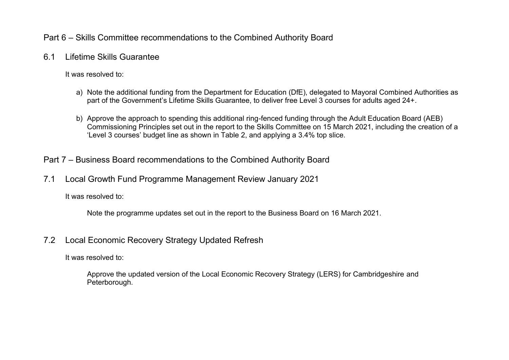### Part 6 – Skills Committee recommendations to the Combined Authority Board

6.1 Lifetime Skills Guarantee

It was resolved to:

- a) Note the additional funding from the Department for Education (DfE), delegated to Mayoral Combined Authorities as part of the Government's Lifetime Skills Guarantee, to deliver free Level 3 courses for adults aged 24+.
- b) Approve the approach to spending this additional ring-fenced funding through the Adult Education Board (AEB) Commissioning Principles set out in the report to the Skills Committee on 15 March 2021, including the creation of a 'Level 3 courses' budget line as shown in Table 2, and applying a 3.4% top slice.

# Part 7 – Business Board recommendations to the Combined Authority Board

7.1 Local Growth Fund Programme Management Review January 2021

It was resolved to:

Note the programme updates set out in the report to the Business Board on 16 March 2021.

### 7.2 Local Economic Recovery Strategy Updated Refresh

It was resolved to:

Approve the updated version of the Local Economic Recovery Strategy (LERS) for Cambridgeshire and Peterborough.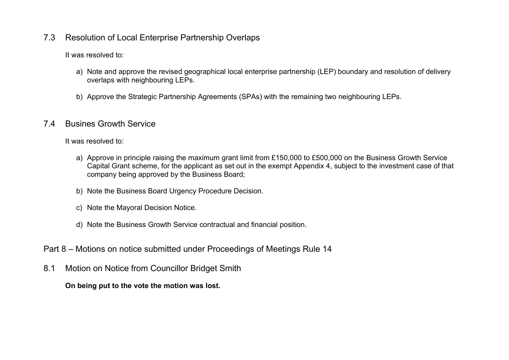### 7.3 Resolution of Local Enterprise Partnership Overlaps

It was resolved to:

- a) Note and approve the revised geographical local enterprise partnership (LEP) boundary and resolution of delivery overlaps with neighbouring LEPs.
- b) Approve the Strategic Partnership Agreements (SPAs) with the remaining two neighbouring LEPs.

# 7.4 Busines Growth Service

It was resolved to:

- a) Approve in principle raising the maximum grant limit from £150,000 to £500,000 on the Business Growth Service Capital Grant scheme, for the applicant as set out in the exempt Appendix 4, subject to the investment case of that company being approved by the Business Board;
- b) Note the Business Board Urgency Procedure Decision.
- c) Note the Mayoral Decision Notice.
- d) Note the Business Growth Service contractual and financial position.
- Part 8 Motions on notice submitted under Proceedings of Meetings Rule 14
- 8.1 Motion on Notice from Councillor Bridget Smith

**On being put to the vote the motion was lost.**